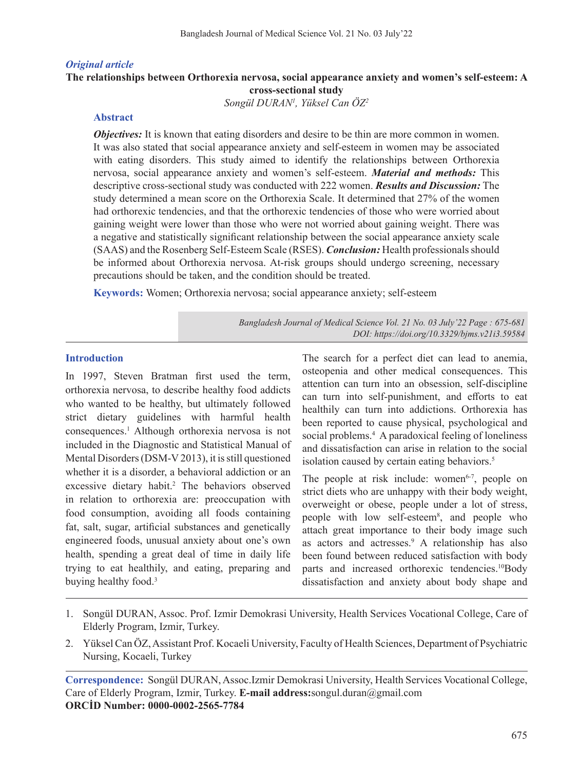### *Original article*

# **The relationships between Orthorexia nervosa, social appearance anxiety and women's self-esteem: A cross-sectional study**

*Songül DURAN1 , Yüksel Can ÖZ2*

### **Abstract**

*Objectives:* It is known that eating disorders and desire to be thin are more common in women. It was also stated that social appearance anxiety and self-esteem in women may be associated with eating disorders. This study aimed to identify the relationships between Orthorexia nervosa, social appearance anxiety and women's self-esteem. *Material and methods:* This descriptive cross-sectional study was conducted with 222 women. *Results and Discussion:* The study determined a mean score on the Orthorexia Scale. It determined that 27% of the women had orthorexic tendencies, and that the orthorexic tendencies of those who were worried about gaining weight were lower than those who were not worried about gaining weight. There was a negative and statistically significant relationship between the social appearance anxiety scale (SAAS) and the Rosenberg Self-Esteem Scale (RSES). *Conclusion:* Health professionalsshould be informed about Orthorexia nervosa. At-risk groups should undergo screening, necessary precautions should be taken, and the condition should be treated.

**Keywords:** Women; Orthorexia nervosa; social appearance anxiety; self-esteem

*Bangladesh Journal of Medical Science Vol. 21 No. 03 July'22 Page : 675-681 DOI: https://doi.org/10.3329/bjms.v21i3.59584*

# **Introduction**

In 1997, Steven Bratman first used the term, orthorexia nervosa, to describe healthy food addicts who wanted to be healthy, but ultimately followed strict dietary guidelines with harmful health consequences.<sup>1</sup> Although orthorexia nervosa is not included in the Diagnostic and Statistical Manual of Mental Disorders (DSM-V 2013), it is still questioned whether it is a disorder, a behavioral addiction or an excessive dietary habit.<sup>2</sup> The behaviors observed in relation to orthorexia are: preoccupation with food consumption, avoiding all foods containing fat, salt, sugar, artificial substances and genetically engineered foods, unusual anxiety about one's own health, spending a great deal of time in daily life trying to eat healthily, and eating, preparing and buying healthy food.<sup>3</sup>

The search for a perfect diet can lead to anemia, osteopenia and other medical consequences. This attention can turn into an obsession, self-discipline can turn into self-punishment, and efforts to eat healthily can turn into addictions. Orthorexia has been reported to cause physical, psychological and social problems.<sup>4</sup> A paradoxical feeling of loneliness and dissatisfaction can arise in relation to the social isolation caused by certain eating behaviors.<sup>5</sup>

The people at risk include: women $6-7$ , people on strict diets who are unhappy with their body weight, overweight or obese, people under a lot of stress, people with low self-esteem<sup>8</sup>, and people who attach great importance to their body image such as actors and actresses.<sup>9</sup> A relationship has also been found between reduced satisfaction with body parts and increased orthorexic tendencies.<sup>10</sup>Body dissatisfaction and anxiety about body shape and

- 1. Songül DURAN, Assoc. Prof. Izmir Demokrasi University, Health Services Vocational College, Care of Elderly Program, Izmir, Turkey.
- 2. Yüksel Can ÖZ,Assistant Prof. Kocaeli University, Faculty of Health Sciences, Department of Psychiatric Nursing, Kocaeli, Turkey

**Correspondence:** Songül DURAN, Assoc.Izmir Demokrasi University, Health Services Vocational College, Care of Elderly Program, Izmir, Turkey. **E-mail address:**songul.duran@gmail.com **ORCİD Number: 0000-0002-2565-7784**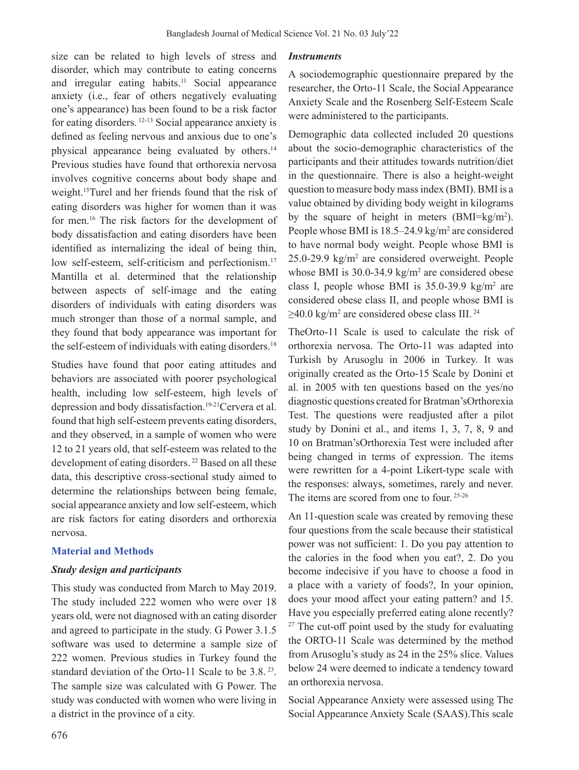size can be related to high levels of stress and disorder, which may contribute to eating concerns and irregular eating habits.<sup>11</sup> Social appearance anxiety (i.e., fear of others negatively evaluating one's appearance) has been found to be a risk factor for eating disorders. 12-13 Social appearance anxiety is defined as feeling nervous and anxious due to one's physical appearance being evaluated by others.14 Previous studies have found that orthorexia nervosa involves cognitive concerns about body shape and weight.15Turel and her friends found that the risk of eating disorders was higher for women than it was for men.<sup>16</sup> The risk factors for the development of body dissatisfaction and eating disorders have been identified as internalizing the ideal of being thin, low self-esteem, self-criticism and perfectionism.<sup>17</sup> Mantilla et al. determined that the relationship between aspects of self-image and the eating disorders of individuals with eating disorders was much stronger than those of a normal sample, and they found that body appearance was important for the self-esteem of individuals with eating disorders.<sup>18</sup>

Studies have found that poor eating attitudes and behaviors are associated with poorer psychological health, including low self-esteem, high levels of depression and body dissatisfaction.<sup>19-21</sup>Cervera et al. found that high self-esteem prevents eating disorders, and they observed, in a sample of women who were 12 to 21 years old, that self-esteem was related to the development of eating disorders. 22 Based on all these data, this descriptive cross-sectional study aimed to determine the relationships between being female, social appearance anxiety and low self-esteem, which are risk factors for eating disorders and orthorexia nervosa.

# **Material and Methods**

# *Study design and participants*

This study was conducted from March to May 2019. The study included 222 women who were over 18 years old, were not diagnosed with an eating disorder and agreed to participate in the study. G Power 3.1.5 software was used to determine a sample size of 222 women. Previous studies in Turkey found the standard deviation of the Orto-11 Scale to be 3.8.<sup>23</sup>. The sample size was calculated with G Power. The study was conducted with women who were living in a district in the province of a city.

## *Instruments*

A sociodemographic questionnaire prepared by the researcher, the Orto-11 Scale, the Social Appearance Anxiety Scale and the Rosenberg Self-Esteem Scale were administered to the participants.

Demographic data collected included 20 questions about the socio-demographic characteristics of the participants and their attitudes towards nutrition/diet in the questionnaire. There is also a height-weight question to measure body massindex (BMI). BMI is a value obtained by dividing body weight in kilograms by the square of height in meters (BMI=kg/m<sup>2</sup>). People whose BMI is 18.5–24.9 kg/m<sup>2</sup> are considered to have normal body weight. People whose BMI is 25.0-29.9 kg/m<sup>2</sup> are considered overweight. People whose BMI is  $30.0 - 34.9 \text{ kg/m}^2$  are considered obese class I, people whose BMI is  $35.0 - 39.9$  kg/m<sup>2</sup> are considered obese class II, and people whose BMI is  $\geq$ 40.0 kg/m<sup>2</sup> are considered obese class III.<sup>24</sup>

TheOrto-11 Scale is used to calculate the risk of orthorexia nervosa. The Orto-11 was adapted into Turkish by Arusoglu in 2006 in Turkey. It was originally created as the Orto-15 Scale by Donini et al. in 2005 with ten questions based on the yes/no diagnostic questions created for Bratman'sOrthorexia Test. The questions were readjusted after a pilot study by Donini et al., and items 1, 3, 7, 8, 9 and 10 on Bratman'sOrthorexia Test were included after being changed in terms of expression. The items were rewritten for a 4-point Likert-type scale with the responses: always, sometimes, rarely and never. The items are scored from one to four. 25-26

An 11-question scale was created by removing these four questions from the scale because their statistical power was not sufficient: 1. Do you pay attention to the calories in the food when you eat?, 2. Do you become indecisive if you have to choose a food in a place with a variety of foods?, In your opinion, does your mood affect your eating pattern? and 15. Have you especially preferred eating alone recently?  $27$  The cut-off point used by the study for evaluating the ORTO-11 Scale was determined by the method from Arusoglu's study as 24 in the 25% slice. Values below 24 were deemed to indicate a tendency toward an orthorexia nervosa.

Social Appearance Anxiety were assessed using The Social Appearance Anxiety Scale (SAAS).This scale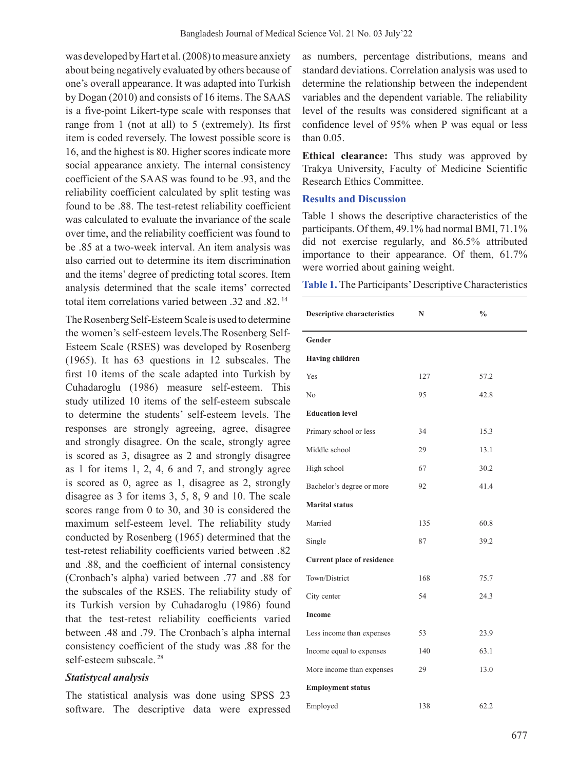was developed by Hart et al. (2008) to measure anxiety about being negatively evaluated by others because of one's overall appearance. It was adapted into Turkish by Dogan (2010) and consists of 16 items. The SAAS is a five-point Likert-type scale with responses that range from 1 (not at all) to 5 (extremely). Its first item is coded reversely. The lowest possible score is 16, and the highest is 80. Higher scores indicate more social appearance anxiety. The internal consistency coefficient of the SAAS was found to be .93, and the reliability coefficient calculated by split testing was found to be .88. The test-retest reliability coefficient was calculated to evaluate the invariance of the scale over time, and the reliability coefficient was found to be .85 at a two-week interval. An item analysis was also carried out to determine its item discrimination and the items' degree of predicting total scores. Item analysis determined that the scale items' corrected total item correlations varied between .32 and .82.<sup>14</sup>

The Rosenberg Self-Esteem Scale is used to determine the women's self-esteem levels.The Rosenberg Self-Esteem Scale (RSES) was developed by Rosenberg (1965). It has 63 questions in 12 subscales. The first 10 items of the scale adapted into Turkish by Cuhadaroglu (1986) measure self-esteem. This study utilized 10 items of the self-esteem subscale to determine the students' self-esteem levels. The responses are strongly agreeing, agree, disagree and strongly disagree. On the scale, strongly agree is scored as 3, disagree as 2 and strongly disagree as 1 for items 1, 2, 4, 6 and 7, and strongly agree is scored as 0, agree as 1, disagree as 2, strongly disagree as 3 for items 3, 5, 8, 9 and 10. The scale scores range from 0 to 30, and 30 is considered the maximum self-esteem level. The reliability study conducted by Rosenberg (1965) determined that the test-retest reliability coefficients varied between .82 and .88, and the coefficient of internal consistency (Cronbach's alpha) varied between .77 and .88 for the subscales of the RSES. The reliability study of its Turkish version by Cuhadaroglu (1986) found that the test-retest reliability coefficients varied between .48 and .79. The Cronbach's alpha internal consistency coefficient of the study was .88 for the self-esteem subscale. 28

#### *Statistycal analysis*

The statistical analysis was done using SPSS 23 software. The descriptive data were expressed

as numbers, percentage distributions, means and standard deviations. Correlation analysis was used to determine the relationship between the independent variables and the dependent variable. The reliability level of the results was considered significant at a confidence level of 95% when P was equal or less than 0.05.

**Ethical clearance:** Thıs study was approved by Trakya University, Faculty of Medicine Scientific Research Ethics Committee.

#### **Results and Discussion**

Table 1 shows the descriptive characteristics of the participants. Of them, 49.1% had normal BMI, 71.1% did not exercise regularly, and 86.5% attributed importance to their appearance. Of them, 61.7% were worried about gaining weight.

**Table 1.** The Participants' Descriptive Characteristics

| <b>Descriptive characteristics</b> | N   | $\frac{0}{0}$ |
|------------------------------------|-----|---------------|
| Gender                             |     |               |
| <b>Having children</b>             |     |               |
| Yes                                | 127 | 57.2          |
| No                                 | 95  | 42.8          |
| <b>Education level</b>             |     |               |
| Primary school or less             | 34  | 15.3          |
| Middle school                      | 29  | 13.1          |
| High school                        | 67  | 30.2          |
| Bachelor's degree or more          | 92  | 41.4          |
| <b>Marital status</b>              |     |               |
| Married                            | 135 | 60.8          |
| Single                             | 87  | 39.2          |
| Current place of residence         |     |               |
| Town/District                      | 168 | 75.7          |
| City center                        | 54  | 24.3          |
| <b>Income</b>                      |     |               |
| Less income than expenses          | 53  | 23.9          |
| Income equal to expenses           | 140 | 63.1          |
| More income than expenses          | 29  | 13.0          |
| <b>Employment status</b>           |     |               |
| Employed                           | 138 | 62.2          |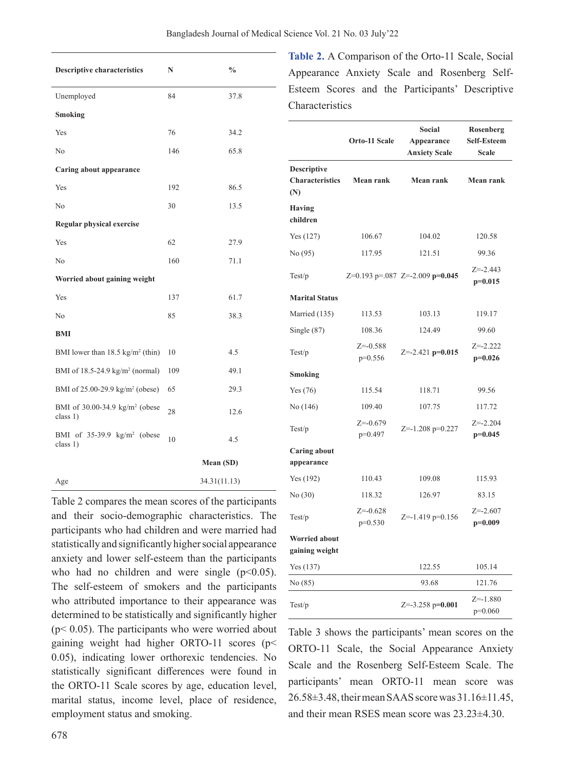| <b>Descriptive characteristics</b>                     | N   | $\frac{0}{0}$ |
|--------------------------------------------------------|-----|---------------|
| Unemployed                                             | 84  | 37.8          |
| Smoking                                                |     |               |
| Yes                                                    | 76  | 34.2          |
| No                                                     | 146 | 65.8          |
| Caring about appearance                                |     |               |
| Yes                                                    | 192 | 86.5          |
| No                                                     | 30  | 13.5          |
| <b>Regular physical exercise</b>                       |     |               |
| Yes                                                    | 62  | 27.9          |
| No                                                     | 160 | 71.1          |
| Worried about gaining weight                           |     |               |
| Yes                                                    | 137 | 61.7          |
| No                                                     | 85  | 38.3          |
| BMI                                                    |     |               |
| BMI lower than $18.5 \text{ kg/m}^2$ (thin)            | 10  | 4.5           |
| BMI of 18.5-24.9 kg/m <sup>2</sup> (normal)            | 109 | 49.1          |
| BMI of $25.00-29.9$ kg/m <sup>2</sup> (obese)          | 65  | 29.3          |
| BMI of 30.00-34.9 kg/m <sup>2</sup> (obese<br>class 1) | 28  | 12.6          |
| BMI of 35-39.9 kg/m <sup>2</sup> (obese<br>class 1)    | 10  | 4.5           |
|                                                        |     | Mean (SD)     |
| Age                                                    |     | 34.31(11.13)  |

Table 2 compares the mean scores of the participants and their socio-demographic characteristics. The participants who had children and were married had statistically and significantly higher social appearance anxiety and lower self-esteem than the participants who had no children and were single  $(p<0.05)$ . The self-esteem of smokers and the participants who attributed importance to their appearance was determined to be statistically and significantly higher ( $p$ < 0.05). The participants who were worried about gaining weight had higher ORTO-11 scores (p< 0.05), indicating lower orthorexic tendencies. No statistically significant differences were found in the ORTO-11 Scale scores by age, education level, marital status, income level, place of residence, employment status and smoking.

**Table 2.** A Comparison of the Orto-11 Scale, Social Appearance Anxiety Scale and Rosenberg Self-Esteem Scores and the Participants' Descriptive **Characteristics** 

|                                                     | Orto-11 Scale             | Social<br>Appearance<br><b>Anxiety Scale</b> | Rosenberg<br><b>Self-Esteem</b><br><b>Scale</b> |
|-----------------------------------------------------|---------------------------|----------------------------------------------|-------------------------------------------------|
| <b>Descriptive</b><br><b>Characteristics</b><br>(N) | Mean rank                 | <b>Mean rank</b>                             | Mean rank                                       |
| <b>Having</b><br>children                           |                           |                                              |                                                 |
| Yes $(127)$                                         | 106.67                    | 104.02                                       | 120.58                                          |
| No (95)                                             | 117.95                    | 121.51                                       | 99.36                                           |
| Test/p                                              |                           | Z=0.193 p=.087 Z=-2.009 p=0.045              | $Z = -2.443$<br>$p=0.015$                       |
| <b>Marital Status</b>                               |                           |                                              |                                                 |
| Married (135)                                       | 113.53                    | 103.13                                       | 119.17                                          |
| Single $(87)$                                       | 108.36                    | 124.49                                       | 99.60                                           |
| Test/p                                              | $Z = -0.588$<br>$p=0.556$ | $Z = -2.421$ p=0.015                         | $Z = -2.222$<br>$p=0.026$                       |
| Smoking                                             |                           |                                              |                                                 |
| Yes $(76)$                                          | 115.54                    | 118.71                                       | 99.56                                           |
| No (146)                                            | 109.40                    | 107.75                                       | 117.72                                          |
| Test/p                                              | $Z = -0.679$<br>p=0.497   | $Z = -1.208$ p=0.227                         | $Z = -2.204$<br>$p=0.045$                       |
| <b>Caring about</b><br>appearance                   |                           |                                              |                                                 |
| Yes (192)                                           | 110.43                    | 109.08                                       | 115.93                                          |
| No(30)                                              | 118.32                    | 126.97                                       | 83.15                                           |
| Test/p                                              | $Z = -0.628$<br>$p=0.530$ | $Z = -1.419$ p=0.156                         | $Z = -2.607$<br>$p=0.009$                       |
| <b>Worried about</b><br>gaining weight              |                           |                                              |                                                 |
| Yes(137)                                            |                           | 122.55                                       | 105.14                                          |
| No (85)                                             |                           | 93.68                                        | 121.76                                          |
| Test/p                                              |                           | $Z = -3.258$ p=0.001                         | $Z = -1.880$<br>$p=0.060$                       |

Table 3 shows the participants' mean scores on the ORTO-11 Scale, the Social Appearance Anxiety Scale and the Rosenberg Self-Esteem Scale. The participants' mean ORTO-11 mean score was 26.58±3.48,theirmeanSAASscorewas 31.16±11.45, and their mean RSES mean score was 23.23±4.30.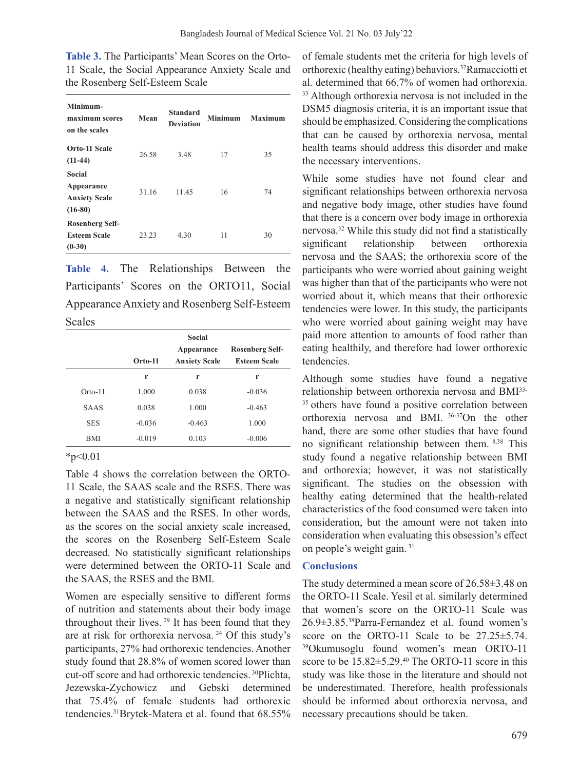| <b>Table 3.</b> The Participants' Mean Scores on the Orto- |  |
|------------------------------------------------------------|--|
| 11 Scale, the Social Appearance Anxiety Scale and          |  |
| the Rosenberg Self-Esteem Scale                            |  |

| Minimum-<br>maximum scores<br>on the scales               | Mean  | <b>Standard</b><br><b>Deviation</b> | <b>Minimum</b> | <b>Maximum</b> |
|-----------------------------------------------------------|-------|-------------------------------------|----------------|----------------|
| Orto-11 Scale<br>$(11-44)$                                | 26.58 | 3.48                                | 17             | 35             |
| Social<br>Appearance<br><b>Anxiety Scale</b><br>$(16-80)$ | 31.16 | 11.45                               | 16             | 74             |
| Rosenberg Self-<br><b>Esteem Scale</b><br>$(0-30)$        | 23.23 | 4.30                                | 11             | 30             |

**Table 4.** The Relationships Between the Participants' Scores on the ORTO11, Social AppearanceAnxiety and Rosenberg Self-Esteem Scales

| <b>Rosenberg Self-</b> |
|------------------------|
| <b>Esteem Scale</b>    |
| r                      |
| $-0.036$               |
| $-0.463$               |
| 1.000                  |
| $-0.006$               |
|                        |

 $*_{p<0.01}$ 

Table 4 shows the correlation between the ORTO-11 Scale, the SAAS scale and the RSES. There was a negative and statistically significant relationship between the SAAS and the RSES. In other words, as the scores on the social anxiety scale increased, the scores on the Rosenberg Self-Esteem Scale decreased. No statistically significant relationships were determined between the ORTO-11 Scale and the SAAS, the RSES and the BMI.

Women are especially sensitive to different forms of nutrition and statements about their body image throughout their lives.  $29$  It has been found that they are at risk for orthorexia nervosa. 24 Of this study's participants, 27% had orthorexic tendencies. Another study found that 28.8% of women scored lower than cut-off score and had orthorexic tendencies. <sup>30</sup>Plichta, Jezewska-Zychowicz and Gebski determined that 75.4% of female students had orthorexic tendencies.31Brytek-Matera et al. found that 68.55% of female students met the criteria for high levels of orthorexic (healthy eating) behaviors.<sup>32</sup>Ramacciotti et al. determined that 66.7% of women had orthorexia. <sup>33</sup> Although orthorexia nervosa is not included in the DSM5 diagnosis criteria, it is an important issue that should be emphasized. Considering the complications that can be caused by orthorexia nervosa, mental health teams should address this disorder and make the necessary interventions.

While some studies have not found clear and significant relationships between orthorexia nervosa and negative body image, other studies have found that there is a concern over body image in orthorexia nervosa.<sup>32</sup> While this study did not find a statistically significant relationship between orthorexia nervosa and the SAAS; the orthorexia score of the participants who were worried about gaining weight was higher than that of the participants who were not worried about it, which means that their orthorexic tendencies were lower. In this study, the participants who were worried about gaining weight may have paid more attention to amounts of food rather than eating healthily, and therefore had lower orthorexic tendencies.

Although some studies have found a negative relationship between orthorexia nervosa and BMI33- <sup>35</sup> others have found a positive correlation between orthorexia nervosa and BMI. 36-37On the other hand, there are some other studies that have found no significant relationship between them. 8,38 This study found a negative relationship between BMI and orthorexia; however, it was not statistically significant. The studies on the obsession with healthy eating determined that the health-related characteristics of the food consumed were taken into consideration, but the amount were not taken into consideration when evaluating this obsession's effect on people's weight gain. <sup>31</sup>

### **Conclusions**

The study determined a mean score of 26.58±3.48 on the ORTO-11 Scale. Yesil et al. similarly determined that women's score on the ORTO-11 Scale was 26.9±3.85.38Parra-Fernandez et al. found women's score on the ORTO-11 Scale to be  $27.25 \pm 5.74$ . 39Okumusoglu found women's mean ORTO-11 score to be  $15.82 \pm 5.29$ .<sup>40</sup> The ORTO-11 score in this study was like those in the literature and should not be underestimated. Therefore, health professionals should be informed about orthorexia nervosa, and necessary precautions should be taken.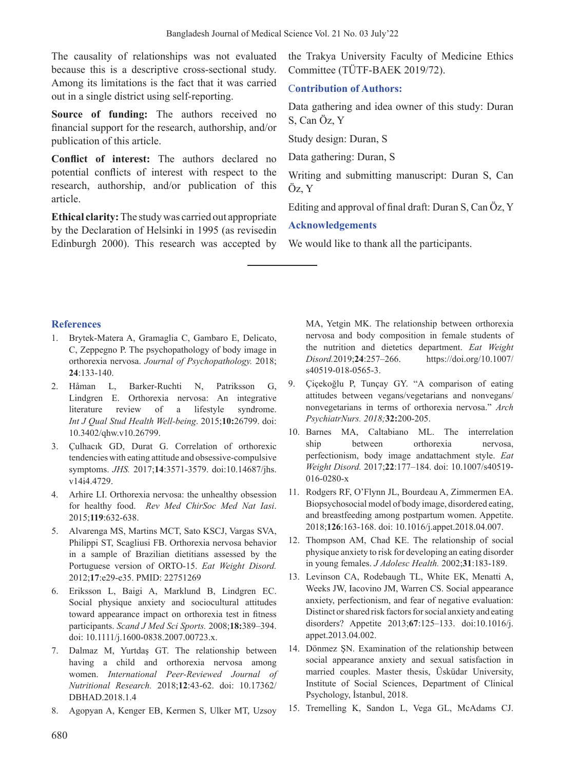The causality of relationships was not evaluated because this is a descriptive cross-sectional study. Among its limitations is the fact that it was carried out in a single district using self-reporting.

**Source of funding:** The authors received no financial support for the research, authorship, and/or publication of this article.

**Conflict of interest:** The authors declared no potential conflicts of interest with respect to the research, authorship, and/or publication of this article.

**Ethical clarity:** The study was carried out appropriate by the Declaration of Helsinki in 1995 (as revisedin Edinburgh 2000). This research was accepted by the Trakya University Faculty of Medicine Ethics Committee (TÜTF-BAEK 2019/72).

# C**ontribution of Authors:**

Data gathering and idea owner of this study: Duran S, Can Öz, Y

Study design: Duran, S

Data gathering: Duran, S

Writing and submitting manuscript: Duran S, Can Öz, Y

Editing and approval of final draft: Duran S, Can Öz, Y

# **Acknowledgements**

We would like to thank all the participants.

### **References**

- 1. Brytek-Matera A, Gramaglia C, Gambaro E, Delicato, C, Zeppegno P. The psychopathology of body image in orthorexia nervosa. *Journal of Psychopathology.* 2018; **24**:133-140.
- 2. Håman L, Barker-Ruchti N, Patriksson G, Lindgren E. Orthorexia nervosa: An integrative literature review of a lifestyle syndrome. *Int J Qual Stud Health Well-being*. 2015;**10:**26799. doi: 10.3402/qhw.v10.26799.
- 3. Çulhacık GD, Durat G. Correlation of orthorexic tendencies with eating attitude and obsessive-compulsive symptoms. *JHS.* 2017;**14**:3571-3579. doi:10.14687/jhs. v14i4.4729.
- 4. Arhire LI. Orthorexia nervosa: the unhealthy obsession for healthy food. *Rev Med ChirSoc Med Nat Iasi*. 2015;**119**:632-638.
- 5. Alvarenga MS, Martins MCT, Sato KSCJ, Vargas SVA, Philippi ST, Scagliusi FB. Orthorexia nervosa behavior in a sample of Brazilian dietitians assessed by the Portuguese version of ORTO-15. *Eat Weight Disord.* 2012;**17**:e29-e35. PMID: 22751269
- 6. Eriksson L, Baigi A, Marklund B, Lindgren EC. Social physique anxiety and sociocultural attitudes toward appearance impact on orthorexia test in fitness participants. *Scand J Med Sci Sports.* 2008;**18:**389–394. doi: 10.1111/j.1600-0838.2007.00723.x.
- 7. Dalmaz M, Yurtdaş GT. The relationship between having a child and orthorexia nervosa among women. *International Peer-Reviewed Journal of Nutritional Research.* 2018;**12**:43-62. doi: 10.17362/ DBHAD.2018.1.4
- 8. Agopyan A, Kenger EB, Kermen S, Ulker MT, Uzsoy

MA, Yetgin MK. The relationship between orthorexia nervosa and body composition in female students of the nutrition and dietetics department. *Eat Weight Disord.*2019;**24**:257–266. https://doi.org/10.1007/ s40519-018-0565-3.

- 9. Çiçekoğlu P, Tunçay GY. "A comparison of eating attitudes between vegans/vegetarians and nonvegans/ nonvegetarians in terms of orthorexia nervosa." *Arch PsychiatrNurs. 2018;***32:**200-205.
- 10. Barnes MA, Caltabiano ML. The interrelation ship between orthorexia nervosa, perfectionism, body image andattachment style. *Eat Weight Disord.* 2017;**22**:177–184. doi: 10.1007/s40519- 016-0280-x
- 11. Rodgers RF, O'Flynn JL, Bourdeau A, Zimmermen EA. Biopsychosocial model of body image, disordered eating, and breastfeeding among postpartum women. Appetite. 2018;**126**:163-168. doi: 10.1016/j.appet.2018.04.007.
- 12. Thompson AM, Chad KE. The relationship of social physique anxiety to risk for developing an eating disorder in young females. *J Adolesc Health.* 2002;**31**:183-189.
- 13. Levinson CA, Rodebaugh TL, White EK, Menatti A, Weeks JW, Iacovino JM, Warren CS. Social appearance anxiety, perfectionism, and fear of negative evaluation: Distinct or shared risk factors for social anxiety and eating disorders? Appetite 2013;**67**:125–133. doi:10.1016/j. appet.2013.04.002.
- 14. Dönmez ŞN. Examination of the relationship between social appearance anxiety and sexual satisfaction in married couples. Master thesis, Üsküdar University, Institute of Social Sciences, Department of Clinical Psychology, İstanbul, 2018.
- 15. Tremelling K, Sandon L, Vega GL, McAdams CJ.